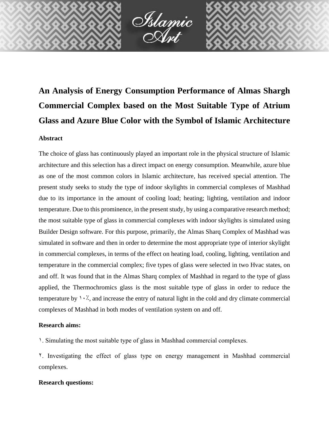

# **An Analysis of Energy Consumption Performance of Almas Shargh Commercial Complex based on the Most Suitable Type of Atrium Glass and Azure Blue Color with the Symbol of Islamic Architecture**

# **Abstract**

The choice of glass has continuously played an important role in the physical structure of Islamic architecture and this selection has a direct impact on energy consumption. Meanwhile, azure blue as one of the most common colors in Islamic architecture, has received special attention. The present study seeks to study the type of indoor skylights in commercial complexes of Mashhad due to its importance in the amount of cooling load; heating; lighting, ventilation and indoor temperature. Due to this prominence, in the present study, by using a comparative research method; the most suitable type of glass in commercial complexes with indoor skylights is simulated using Builder Design software. For this purpose, primarily, the Almas Sharq Complex of Mashhad was simulated in software and then in order to determine the most appropriate type of interior skylight in commercial complexes, in terms of the effect on heating load, cooling, lighting, ventilation and temperature in the commercial complex; five types of glass were selected in two Hvac states, on and off. It was found that in the Almas Sharq complex of Mashhad in regard to the type of glass applied, the Thermochromics glass is the most suitable type of glass in order to reduce the temperature by  $1.7$ , and increase the entry of natural light in the cold and dry climate commercial complexes of Mashhad in both modes of ventilation system on and off.

# **Research aims:**

1. Simulating the most suitable type of glass in Mashhad commercial complexes.

2. Investigating the effect of glass type on energy management in Mashhad commercial complexes.

# **Research questions:**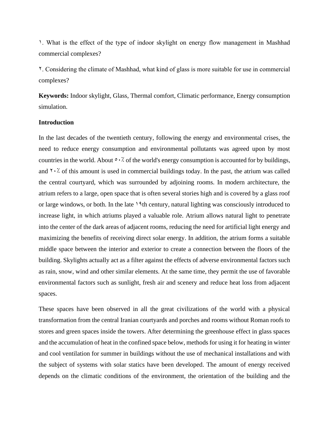1. What is the effect of the type of indoor skylight on energy flow management in Mashhad commercial complexes?

2. Considering the climate of Mashhad, what kind of glass is more suitable for use in commercial complexes?

**Keywords:** Indoor skylight, Glass, Thermal comfort, Climatic performance, Energy consumption simulation.

#### **Introduction**

In the last decades of the twentieth century, following the energy and environmental crises, the need to reduce energy consumption and environmental pollutants was agreed upon by most countries in the world. About  $\circ \cdot \cdot \circ$  of the world's energy consumption is accounted for by buildings, and  $\gamma$ . So this amount is used in commercial buildings today. In the past, the atrium was called the central courtyard, which was surrounded by adjoining rooms. In modern architecture, the atrium refers to a large, open space that is often several stories high and is covered by a glass roof or large windows, or both. In the late 19th century, natural lighting was consciously introduced to increase light, in which atriums played a valuable role. Atrium allows natural light to penetrate into the center of the dark areas of adjacent rooms, reducing the need for artificial light energy and maximizing the benefits of receiving direct solar energy. In addition, the atrium forms a suitable middle space between the interior and exterior to create a connection between the floors of the building. Skylights actually act as a filter against the effects of adverse environmental factors such as rain, snow, wind and other similar elements. At the same time, they permit the use of favorable environmental factors such as sunlight, fresh air and scenery and reduce heat loss from adjacent spaces.

These spaces have been observed in all the great civilizations of the world with a physical transformation from the central Iranian courtyards and porches and rooms without Roman roofs to stores and green spaces inside the towers. After determining the greenhouse effect in glass spaces and the accumulation of heat in the confined space below, methods for using it for heating in winter and cool ventilation for summer in buildings without the use of mechanical installations and with the subject of systems with solar statics have been developed. The amount of energy received depends on the climatic conditions of the environment, the orientation of the building and the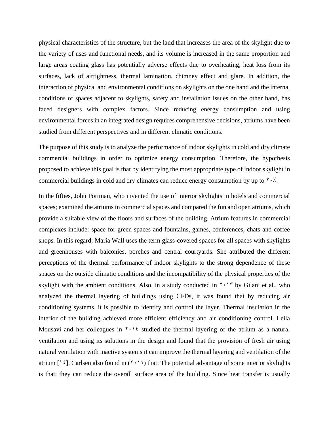physical characteristics of the structure, but the land that increases the area of the skylight due to the variety of uses and functional needs, and its volume is increased in the same proportion and large areas coating glass has potentially adverse effects due to overheating, heat loss from its surfaces, lack of airtightness, thermal lamination, chimney effect and glare. In addition, the interaction of physical and environmental conditions on skylights on the one hand and the internal conditions of spaces adjacent to skylights, safety and installation issues on the other hand, has faced designers with complex factors. Since reducing energy consumption and using environmental forces in an integrated design requires comprehensive decisions, atriums have been studied from different perspectives and in different climatic conditions.

The purpose of this study is to analyze the performance of indoor skylights in cold and dry climate commercial buildings in order to optimize energy consumption. Therefore, the hypothesis proposed to achieve this goal is that by identifying the most appropriate type of indoor skylight in commercial buildings in cold and dry climates can reduce energy consumption by up to  $\gamma \cdot \gamma$ .

In the fifties, John Portman, who invented the use of interior skylights in hotels and commercial spaces; examined the atriums in commercial spaces and compared the fun and open atriums, which provide a suitable view of the floors and surfaces of the building. Atrium features in commercial complexes include: space for green spaces and fountains, games, conferences, chats and coffee shops. In this regard; Maria Wall uses the term glass-covered spaces for all spaces with skylights and greenhouses with balconies, porches and central courtyards. She attributed the different perceptions of the thermal performance of indoor skylights to the strong dependence of these spaces on the outside climatic conditions and the incompatibility of the physical properties of the skylight with the ambient conditions. Also, in a study conducted in  $\gamma \cdot \gamma$  by Gilani et al., who analyzed the thermal layering of buildings using CFDs, it was found that by reducing air conditioning systems, it is possible to identify and control the layer. Thermal insulation in the interior of the building achieved more efficient efficiency and air conditioning control. Leila Mousavi and her colleagues in  $\gamma \cdot \gamma$  studied the thermal layering of the atrium as a natural ventilation and using its solutions in the design and found that the provision of fresh air using natural ventilation with inactive systems it can improve the thermal layering and ventilation of the atrium [ $\mathcal{N}(2)$ ]. Carlsen also found in ( $\mathcal{N}(2)$ ) that: The potential advantage of some interior skylights is that: they can reduce the overall surface area of the building. Since heat transfer is usually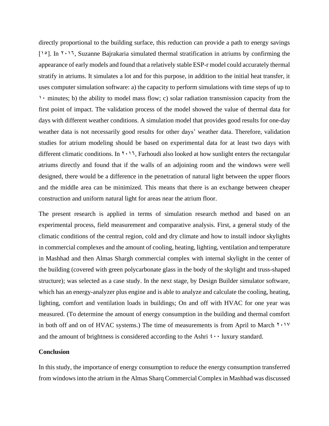directly proportional to the building surface, this reduction can provide a path to energy savings  $[102]$ . In  $[115]$ . Suzanne Bajrakaria simulated thermal stratification in atriums by confirming the appearance of early models and found that a relatively stable ESP-r model could accurately thermal stratify in atriums. It simulates a lot and for this purpose, in addition to the initial heat transfer, it uses computer simulation software: a) the capacity to perform simulations with time steps of up to  $\cdot$  minutes; b) the ability to model mass flow; c) solar radiation transmission capacity from the first point of impact. The validation process of the model showed the value of thermal data for days with different weather conditions. A simulation model that provides good results for one-day weather data is not necessarily good results for other days' weather data. Therefore, validation studies for atrium modeling should be based on experimental data for at least two days with different climatic conditions. In  $\gamma \cdot \gamma$ , Farhoudi also looked at how sunlight enters the rectangular atriums directly and found that if the walls of an adjoining room and the windows were well designed, there would be a difference in the penetration of natural light between the upper floors and the middle area can be minimized. This means that there is an exchange between cheaper construction and uniform natural light for areas near the atrium floor.

The present research is applied in terms of simulation research method and based on an experimental process, field measurement and comparative analysis. First, a general study of the climatic conditions of the central region, cold and dry climate and how to install indoor skylights in commercial complexes and the amount of cooling, heating, lighting, ventilation and temperature in Mashhad and then Almas Shargh commercial complex with internal skylight in the center of the building (covered with green polycarbonate glass in the body of the skylight and truss-shaped structure); was selected as a case study. In the next stage, by Design Builder simulator software, which has an energy-analyzer plus engine and is able to analyze and calculate the cooling, heating, lighting, comfort and ventilation loads in buildings; On and off with HVAC for one year was measured. (To determine the amount of energy consumption in the building and thermal comfort in both off and on of HVAC systems.) The time of measurements is from April to March  $\gamma \cdot \gamma$ and the amount of brightness is considered according to the Ashri  $\mathfrak{c} \cdots$  luxury standard.

#### **Conclusion**

In this study, the importance of energy consumption to reduce the energy consumption transferred from windows into the atrium in the Almas Sharq Commercial Complex in Mashhad was discussed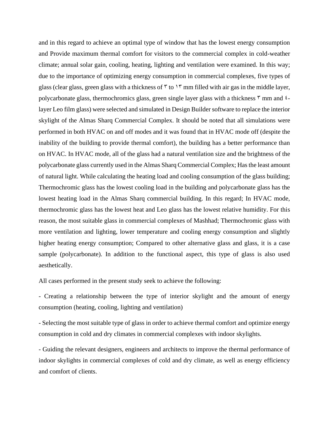and in this regard to achieve an optimal type of window that has the lowest energy consumption and Provide maximum thermal comfort for visitors to the commercial complex in cold-weather climate; annual solar gain, cooling, heating, lighting and ventilation were examined. In this way; due to the importance of optimizing energy consumption in commercial complexes, five types of glass (clear glass, green glass with a thickness of  $\bar{y}$  to  $\bar{y}$  mm filled with air gas in the middle layer, polycarbonate glass, thermochromics glass, green single layer glass with a thickness  $\bar{y}$  mm and  $\bar{z}$ layer Leo film glass) were selected and simulated in Design Builder software to replace the interior skylight of the Almas Sharq Commercial Complex. It should be noted that all simulations were performed in both HVAC on and off modes and it was found that in HVAC mode off (despite the inability of the building to provide thermal comfort), the building has a better performance than on HVAC. In HVAC mode, all of the glass had a natural ventilation size and the brightness of the polycarbonate glass currently used in the Almas Sharq Commercial Complex; Has the least amount of natural light. While calculating the heating load and cooling consumption of the glass building; Thermochromic glass has the lowest cooling load in the building and polycarbonate glass has the lowest heating load in the Almas Sharq commercial building. In this regard; In HVAC mode, thermochromic glass has the lowest heat and Leo glass has the lowest relative humidity. For this reason, the most suitable glass in commercial complexes of Mashhad; Thermochromic glass with more ventilation and lighting, lower temperature and cooling energy consumption and slightly higher heating energy consumption; Compared to other alternative glass and glass, it is a case sample (polycarbonate). In addition to the functional aspect, this type of glass is also used aesthetically.

All cases performed in the present study seek to achieve the following:

- Creating a relationship between the type of interior skylight and the amount of energy consumption (heating, cooling, lighting and ventilation)

- Selecting the most suitable type of glass in order to achieve thermal comfort and optimize energy consumption in cold and dry climates in commercial complexes with indoor skylights.

- Guiding the relevant designers, engineers and architects to improve the thermal performance of indoor skylights in commercial complexes of cold and dry climate, as well as energy efficiency and comfort of clients.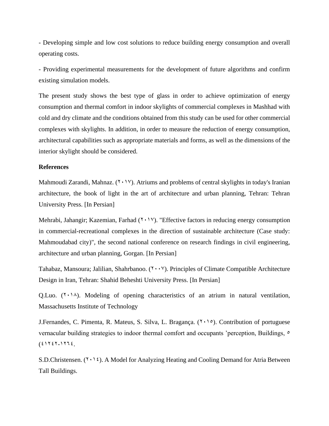- Developing simple and low cost solutions to reduce building energy consumption and overall operating costs.

- Providing experimental measurements for the development of future algorithms and confirm existing simulation models.

The present study shows the best type of glass in order to achieve optimization of energy consumption and thermal comfort in indoor skylights of commercial complexes in Mashhad with cold and dry climate and the conditions obtained from this study can be used for other commercial complexes with skylights. In addition, in order to measure the reduction of energy consumption, architectural capabilities such as appropriate materials and forms, as well as the dimensions of the interior skylight should be considered.

#### **References**

Mahmoudi Zarandi, Mahnaz.  $(Y \cdot Y)$ . Atriums and problems of central skylights in today's Iranian architecture, the book of light in the art of architecture and urban planning, Tehran: Tehran University Press. [In Persian]

Mehrabi, Jahangir; Kazemian, Farhad  $(Y \cdot Y)$ . "Effective factors in reducing energy consumption in commercial-recreational complexes in the direction of sustainable architecture (Case study: Mahmoudabad city)", the second national conference on research findings in civil engineering, architecture and urban planning, Gorgan. [In Persian]

Tahabaz, Mansoura; Jalilian, Shahrbanoo.  $(1 \cdot \cdot \cdot)'$ . Principles of Climate Compatible Architecture Design in Iran, Tehran: Shahid Beheshti University Press. [In Persian]

Q.Luo.  $(1 \cdot 1)$ . Modeling of opening characteristics of an atrium in natural ventilation, Massachusetts Institute of Technology

J.Fernandes, C. Pimenta, R. Mateus, S. Silva, L. Bragança.  $(7 \cdot 1)$ . Contribution of portuguese vernacular building strategies to indoor thermal comfort and occupants 'perception, Buildings,  $\circ$  $(21727-1772)$ 

S.D.Christensen.  $(1 \cdot \xi)$ . A Model for Analyzing Heating and Cooling Demand for Atria Between Tall Buildings.